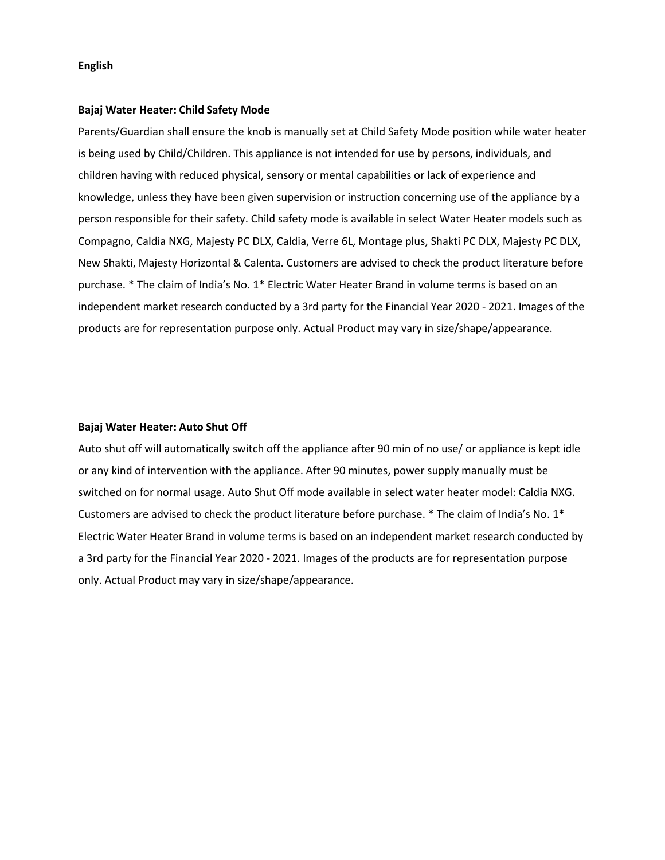#### English

#### Bajaj Water Heater: Child Safety Mode

Parents/Guardian shall ensure the knob is manually set at Child Safety Mode position while water heater is being used by Child/Children. This appliance is not intended for use by persons, individuals, and children having with reduced physical, sensory or mental capabilities or lack of experience and knowledge, unless they have been given supervision or instruction concerning use of the appliance by a person responsible for their safety. Child safety mode is available in select Water Heater models such as Compagno, Caldia NXG, Majesty PC DLX, Caldia, Verre 6L, Montage plus, Shakti PC DLX, Majesty PC DLX, New Shakti, Majesty Horizontal & Calenta. Customers are advised to check the product literature before purchase. \* The claim of India's No. 1\* Electric Water Heater Brand in volume terms is based on an independent market research conducted by a 3rd party for the Financial Year 2020 - 2021. Images of the products are for representation purpose only. Actual Product may vary in size/shape/appearance.

#### Bajaj Water Heater: Auto Shut Off

Auto shut off will automatically switch off the appliance after 90 min of no use/ or appliance is kept idle or any kind of intervention with the appliance. After 90 minutes, power supply manually must be switched on for normal usage. Auto Shut Off mode available in select water heater model: Caldia NXG. Customers are advised to check the product literature before purchase. \* The claim of India's No. 1\* Electric Water Heater Brand in volume terms is based on an independent market research conducted by a 3rd party for the Financial Year 2020 - 2021. Images of the products are for representation purpose only. Actual Product may vary in size/shape/appearance.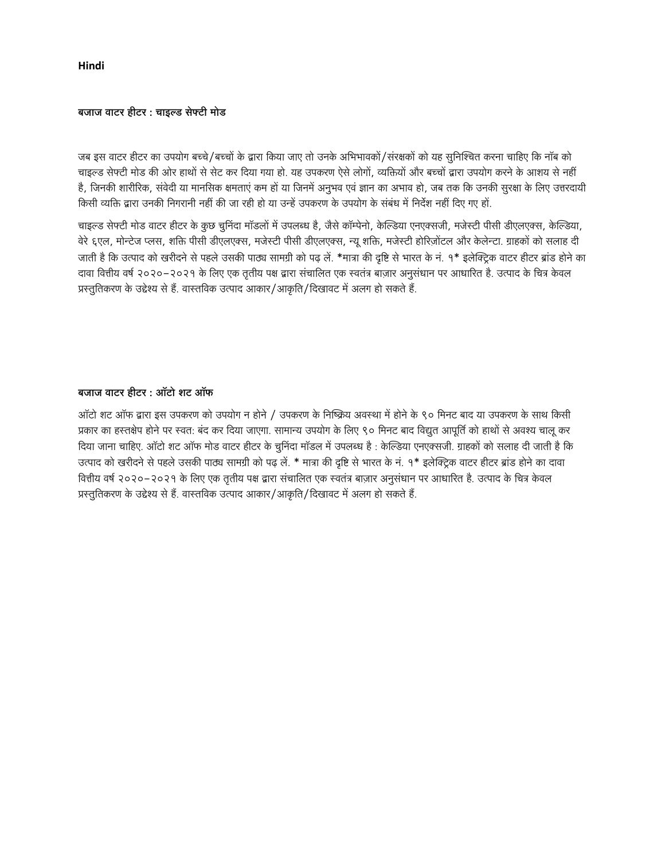Hindi

#### बजाज वाटर हीटर : चाइल्ड सेफ्टी मोड

जब इस वाटर हीटर का उपयोग बच्चे/बच्चों के द्वारा किया जाए तो उनके अभिभावकों/संरक्षकों को यह सुनिश्चित करना चाहिए कि नॉब को चाइल्ड सेफ्टी मोड की ओर हाथों से सेट कर दिया गया हो. यह उपकरण ऐसे लोगों, व्यक्तियों और बच्चों द्वारा उपयोग करने के आशय से नहीं है, जिनकी शारीरिक, संवेदी या मानसिक क्षमताएं कम हो या जिनमें अनुभव एवं ज्ञान का अभाव हो, जब तक कि उनकी सुरक्षा के लिए उत्तरदायी किसी व्यक्ति द्वारा उनकी निगरानी नहीं की जा रही हो या उन्हें उपकरण के उपयोग के संबंध में निर्देश नहीं दिए गए हो

चाइल्ड सेफ्टी मोड वाटर हीटर के कुछ चूनिंदा मॉडलों में उपलब्ध है, जैसे कॉम्पेनो, केल्डिया एनएक्सजी, मजेस्टी पीसी डीएलएक्स, केल्डिया, वेरे ६एल, मोन्टेज प्लस, शक्ति पीसी डीएलएक्स, मजेस्टी पीसी डीएलएक्स, न्यू शक्ति, मजेस्टी होरिज़ोंटल और केलेन्टा. ग्राहकों को सलाह दी जाती है कि उत्पाद को खरीदने से पहले उसकी पाठ्य सामग्री को पढ़ लें. \*मात्रा की दृष्टि से भारत के नं. १\* इलेक्ट्रिक वाटर हीटर ब्रांड होने का दावा वित्तीय वर्ष २०२०–२०२१ के लिए एक तृतीय पक्ष द्वारा संचालित एक स्वतंत्र बाज़ार अनुसंधान पर आधारित है. उत्पाद के चित्र केवल प्रस्तुतिकरण के उद्देश्य से हैं. वास्तविक उत्पाद आकार/आकृति/दिखावट में अलग हो सकते हैं.

### बजाज वाटर हीटर: ऑटो शट ऑफ

ऑटो शट ऑफ द्वारा इस उपकरण को उपयोग न होने / उपकरण के निष्क्रिय अवस्था में होने के ९० मिनट बाद या उपकरण के साथ किसी प्रकार का हस्तक्षेप होने पर स्वत: बंद कर दिया जाएगा. सामान्य उपयोग के लिए ९० मिनट बाद विद्युत आपूर्ति को हाथों से अवश्य चालू कर दिया जाना चाहिए. ऑटो शट ऑफ मोड वाटर हीटर के चुनिंदा मॉडल में उपलब्ध है : केल्डिया एनएक्सजी. ग्राहकों को सलाह दी जाती है कि उत्पाद को खरीदने से पहले उसकी पाठ्य सामग्री को पढ़ लें. \* मात्रा की दृष्टि से भारत के नं. १\* इलेक्ट्रिक वाटर हीटर ब्रांड होने का दावा वित्तीय वर्ष २०२०–२०२१ के लिए एक तृतीय पक्ष द्वारा संचालित एक स्वतंत्र बाज़ार अनुसंधान पर आधारित है. उत्पाद के चित्र केवल प्रस्तुतिकरण के उद्देश्य से हैं. वास्तविक उत्पाद आकार/आकृति/दिखावट में अलग हो सकते हैं.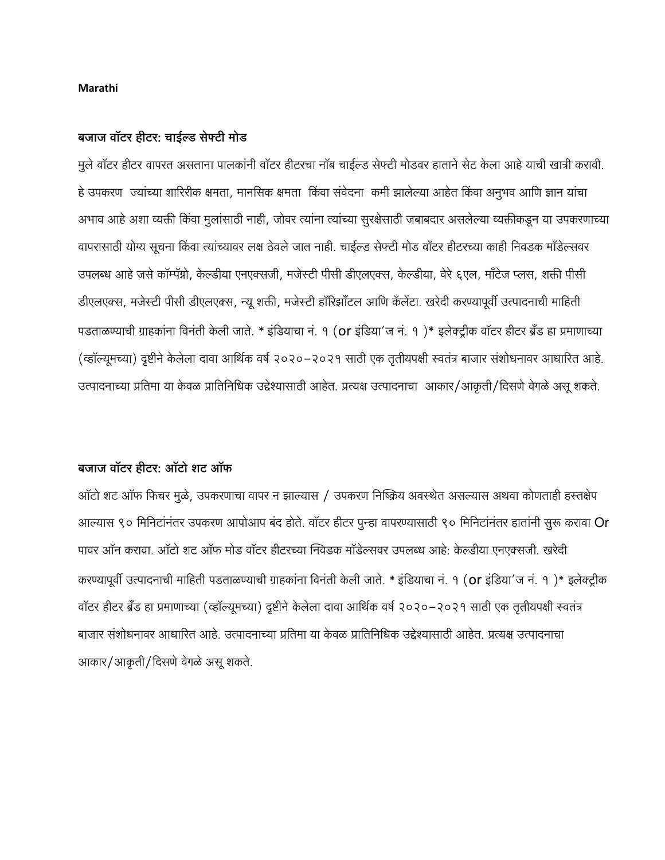### Marathi

## बजाज वॉटर हीटर: चाईल्ड सेफ्टी मोड

मुले वॉटर हीटर वापरत असताना पालकांनी वॉटर हीटरचा नॉब चाईल्ड सेफ्टी मोडवर हाताने सेट केला आहे याची खात्री करावी हे उपकरण) ज्यांच्या शारिरीक क्षमता, मानसिक क्षमता) किंवा संवेदना) कमी झालेल्या आहेत किंवा अनुभव आणि ज्ञान यांचा अभाव आहे अशा व्यक्ती किंवा मुलांसाठी नाही, जोवर त्यांना त्यांच्या सुरक्षेसाठी जबाबदार असलेल्या व्यक्तीकडून या उपकरणाच्या वापरासाठी योग्य सूचना किंवा त्यांच्यावर लक्ष ठेवले जात नाही. चाईल्ड सेफ्टी मोड वॉटर हीटरच्या काही निवडक मॉडेल्सवर उपलब्ध आहे जसे कॉम्पॅग्नो, केल्डीया एनएक्सजी, मजेस्टी पीसी डीएलएक्स, केल्डीया, वेरे ६एल, मॉंटेज प्लस, शक्ती पीसी डीएलएक्स, मजेस्टी पीसी डीएलएक्स, न्यू शक्ती, मजेस्टी हॉरिझॉंटल आणि कॅलेंटा. खरेदी करण्यापूर्वी उत्पादनाची माहिती पडताळण्याची ग्राहकांना विनंती केली जाते. \* इंडियाचा नं. १ (or इंडिया'ज नं. १)\* इलेक्ट्रीक वॉटर हीटर ब्रॅंड हा प्रमाणाच्या (व्हॉल्यूमच्या) दृष्टीने केलेला दावा आर्थिक वर्ष २०२०–२०२१ साठी एक तृतीयपक्षी स्वतंत्र बाजार संशोधनावर आधारित आहे. उत्पादनाच्या प्रतिमा या केवळ प्रातिनिधिक उद्देश्यासाठी आहेत. प्रत्यक्ष उत्पादनाचा आकार/आकृती/दिसणे वेगळे असू शकते.

# बजाज वॉटर हीटर: ऑटो शट ऑफ

ऑटो शट ऑफ फिचर मुळे, उपकरणाचा वापर न झाल्यास / उपकरण निष्क्रिय अवस्थेत असल्यास अथवा कोणताही हस्तक्षेप आल्यास ९० मिनिटांनंतर उपकरण आपोआप बंद होते. वॉटर हीटर पुन्हा वापरण्यासाठी ९० मिनिटांनंतर हातांनी सुरू करावा Or पावर ऑन करावा. ऑटो शट ऑफ मोड वॉटर हीटरच्या निवेडक मॉडेल्सवर उपलब्ध आहे: केल्डीया एनएक्सजी. खरेदी करण्यापूर्वी उत्पादनाची माहिती पडताळण्याची ग्राहकांना विनंती केली जाते. \* इंडियाचा नं. १ (or इंडिया'ज नं. १)\* इलेक्ट्रीक वॉटर हीटर ब्रॅंड हा प्रमाणाच्या (व्हॉल्यूमच्या) दृष्टीने केलेला दावा आर्थिक वर्ष २०२०–२०२१ साठी एक तृतीयपक्षी स्वतंत्र बाजार संशोधनावर आधारित आहे. उत्पादनाच्या प्रतिमा या केवळ प्रातिनिधिक उद्देश्यासाठी आहेत. प्रत्यक्ष उत्पादनाचा आकार/आकृती/दिसणे वेगळे असू शकते.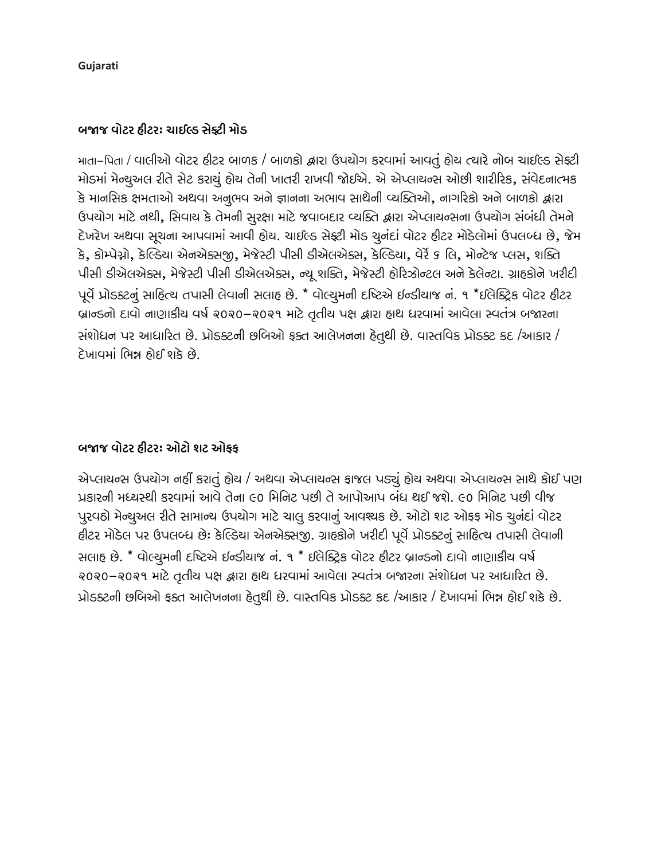Gujarati

# બજાજ વોટર ઠીટર: ચાઈલ્ડ સેક્ટી મોડ

માતા-પિતા / વાલીઓ વોટર હીટર બાળક / બાળકો દ્વારા ઉપચોગ કરવામાં આવતું હોચ ત્યારે નોબ ચાઈલ્ડ સેફ્ટી મોડમાં મેન્ચુઅલ રીતે સેટ કરાચું હોચ તેની ખાતરી રાખવી જોઈએ. એ એપ્લાચન્સ ઓછી શારીરિક, સંવેદનાત્મક કે માનસિક ક્ષમતાઓ અથવા અનૂભવ અને જ્ઞાનના અભાવ સાથેની વ્યક્તિઓ, નાગરિકો અને બાળકો દ્વારા ઉપયોગ માટે નથી, સિવાય કે તેમની સુરક્ષા માટે જવાબદાર વ્યક્તિ દ્વારા એપ્લાયન્સના ઉપયોગ સંબંધી તેમને દેખરેખ અથવા સૂચના આપવામાં આવી હોય. ચાઈલ્ડ સેફ્ટી મોડ ચુનંદાં વોટર હીટર મોડેલોમાં ઉપલબ્ધ છે, જેમ કે, કોમ્પેગ્નો, કેલ્ડિયા એનએક્સજી, મેજેસ્ટી પીસી ડીએલએક્સ, કેલ્ડિયા, વેર્રે ૬ લિ, મોન્ટેજ પ્લસ, શક્તિ પીસી ડીએલએક્સ, મેજેસ્ટી પીસી ડીએલએક્સ, ન્યૂ શક્તિ, મેજેસ્ટી હોરિઝોન્ટલ અને કેલેન્ટા. ગ્રાહકોને ખરીદી पूर्वे प्रोडडटनुं साहित्य तपासी लेपानी सलाह छे. \* पोल्युमनी दृष्टिसे छन्डीयाश्र नं. १ \*छलेड्रिड पोटर हीटर બ્રાન્ડનો દાવો નાણાકીય વર્ષ ૨૦૨૦-૨૦૨૧ માટે તૃતીય પક્ષ દ્વારા હાથ ધરવામાં આવેલા સ્વતંત્ર બજારના સંશોધન પર આધારિત છે. પ્રોડક્ટની છબિઓ ફક્ત આલેખનના હેતુથી છે. વાસ્તવિક પ્રોડક્ટ કદ /આકાર / દેખાવમાં ભિન્ન ઠોઈ શકે છે.

# બજાજ વોટર હીટરઃ ઓટો શટ ઓકક

એપ્લાયન્સ ઉપયોગ નહીં કરાતું હોય / અથવા એપ્લાયન્સ ફાજલ પડ્યું હોય અથવા એપ્લાયન્સ સાથે કોઈ પણ પ્રકારની મધ્યસ્થી કરવામાં આવે તેના ૯૦ મિનિટ પછી તે આપોઆપ બંધ થઈ જશે. ૯૦ મિનિટ પછી વીજ પુરવઠો મેન્ચુઅલ રીતે સામાન્ય ઉપયોગ માટે ચાલુ કરવાનું આવશ્યક છે. ઓટો શટ ઓફફ મોડ ચુનંદાં વોટર હીટર મોડેલ પર ઉપલબ્ધ છે: કેલ્ડિયા એનએક્સજી. ગ્રાહકોને ખરીદી પૂર્વે પ્રોડક્ટનું સાહિત્ય તપાસી લેવાની સલાહ છે. \* વોલ્યુમની દષ્ટિએ ઈન્ડીયાજ નં. ૧ \* ઈલેક્ટ્રિક વોટર ફીટર બ્રાન્ડનો દાવો નાણાકીય વર્ષ ૨૦૨૦-૨૦૨૧ માટે તૃતીય પક્ષ દ્વારા હાથ ધરવામાં આવેલા સ્વતંત્ર બજારના સંશોધન પર આધારિત છે. પ્રોડક્ટની છબિઓ ફક્ત આલેખનના હેતુથી છે. વાસ્તવિક પ્રોડક્ટ કદ /આકાર / દેખાવમાં ભિન્ન હોઈ શકે છે.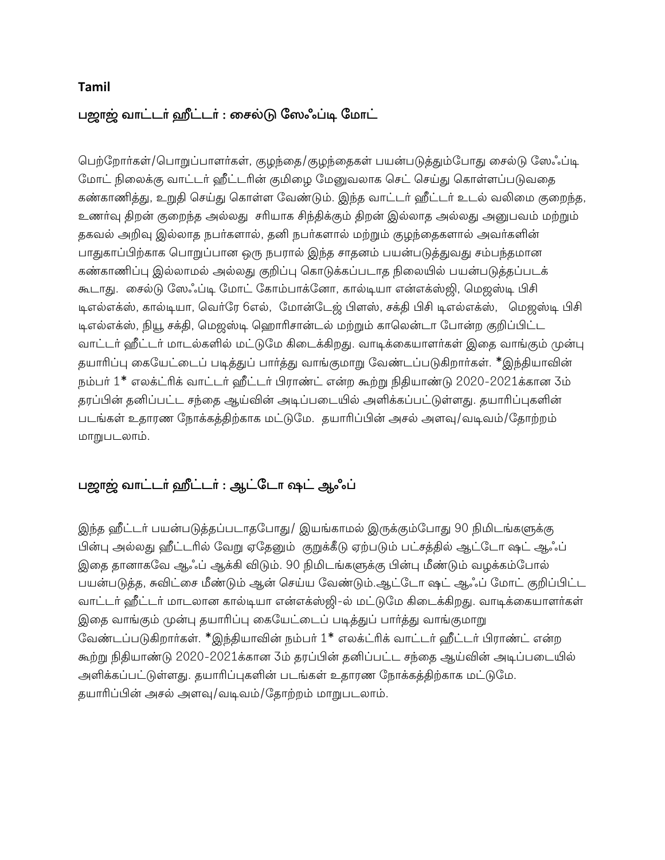## **Tamil**

# பஜாஜ் வாட்டர் ஹீட்டர் : சைல்டு ஸேஃப்டி மோட்

பெற்றோர்கள்/பொறுப்பாளர்கள், குழந்தை/குழந்தைகள் பயன்படுத்தும்போது சைல்டு லேஃப்டி மோட் நிலைக்கு வாட்டர் ஹீட்டரின் குமிழை மேனுவலாக செட் செய்து கொள்ளப்படுவதை கண்காணித்து, உறுதி செய்து கொள்ள வேண்டும். இந்த வாட்டர் ஹீட்டர் உடல் வலிமை குறைந்த, உணர்வு திறன் குறைந்த அல்லது சரியாக சிந்திக்கும் திறன் இல்லாத அல்லது அனுபவம் மற்றும் தகவல் அறிவு இல்லாத நபர்களால், தனி நபர்களால் மற்றும் குழந்தைகளால் அவர்களின் பாதுகாப்பிற்காக பொறுப்பான ஒரு நபரால் இந்த சாதனம் பயன்படுத்துவது சம்பந்தமான கண்காணிப்பு இல்லாமல் அல்லது குறிப்பு கொடுக்கப்படாத நிலையில் பயன்படுத்தப்படக் கூடாது. சைல்டு லேஃப்டி மோட் கோம்பாக்னோ, கால்டியா என்எக்ஸ்ஜி, மெஜஸ்டி பிசி டிஎல்எக்ஸ், கால்டியா, வெர்ரே 6எல், மோன்டேஜ் பிளஸ், சக்தி பிசி டிஎல்எக்ஸ், மெஜஸ்டி பிசி டிஎல்எக்ஸ், நியூ சக்தி, மெஜஸ்டி ஹொரிசான்டல் மற்றும் காலென்டா போன்ற குறிப்பிட்ட வாட்டர் ஹீட்டர் மாடல்களில் மட்டுமே கிடைக்கிறது. வாடிக்கையாளர்கள் இதை வாங்கும் முன்பு தயாரிப்பு கையேட்டைப் படித்துப் பார்த்து வாங்குமாறு வேண்டப்படுகிறார்கள். \*இந்தியாவின் நம்பர் 1\* எலக்ட்ரிக் வாட்டர் ஹீட்டர் பிராண்ட் என்ற கூற்று நிதியாண்டு 2020-2021க்கான 3ம் தரப்பின் தனிப்பட்ட சந்தை ஆய்வின் அடிப்படையில் அளிக்கப்பட்டுள்ளது. தயாரிப்புகளின் படங்கள் உதாரண நோக்கத்திற்காக மட்டுமே. தயாரிப்பின் அசல் அளவு/வடிவம்/தோற்றம் மாறுபடலாம்.

# பஜாஜ் வாட்டர் ஹீட்டர் : ஆட்டோ ஷட் ஆஃப்

இந்த ஹீட்டர் பயன்படுத்தப்படாதபோது/ இயங்காமல் இருக்கும்போது 90 நிமிடங்களுக்கு பின்பு அல்லது ஹீட்டரில் வேறு ஏதேனும் குறுக்கீடு ஏற்படும் பட்சத்தில் ஆட்டோ ஷட் ஆஃப் இதை தானாகவே ஆஃப் ஆக்கி விடும். 90 நிமிடங்களுக்கு பின்பு மீண்டும் வழக்கம்போல் பயன்படுத்த, சுவிட்சை மீண்டும் ஆன் செய்ய வேண்டும்.ஆட்டோ ஷட் ஆஃப் மோட் குறிப்பிட்ட வாட்டர் ஹீட்டர் மாடலான கால்டியா என்எக்ஸ்ஜி-ல் மட்டுமே கிடைக்கிறது. வாடிக்கையாளர்கள் இதை வாங்கும் முன்பு தயாரிப்பு கையேட்டைப் படித்துப் பார்த்து வாங்குமாறு வேண்டப்படுகிறார்கள். \*இந்தியாவின் நம்பர் 1\* எலக்ட்ரிக் வாட்டர் ஹீட்டர் பிராண்ட் என்ற கூற்று நிதியாண்டு 2020-2021க்கான 3ம் தரப்பின் தனிப்பட்ட சந்தை ஆய்வின் அடிப்படையில் அளிக்கப்பட்டுள்ளது. தயாரிப்புகளின் படங்கள் உதாரண நோக்கத்திற்காக மட்டுமே. தயாரிப்பின் அசல் அளவு/வடிவம்/தோற்றம் மாறுபடலாம்.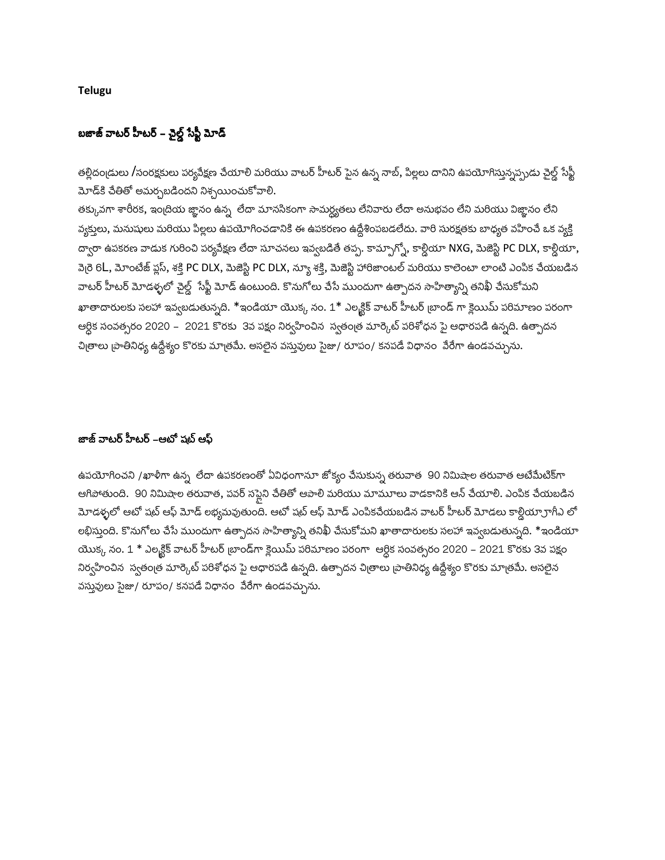**Telugu** 

# బజాజ్ వాటర్ హీటర్ – చైల్డ్ సేఫ్టీ మోడ్

తల్లిదంఁడులు /సంరక్షకులు పర్యవేక్షణ చేయాలి మరియు వాటర్ హీటర్ పైన ఉన్న నాబ్, పిల్లలు దానిని ఉపయోగిస్తున్నప్పుడు చైల్డ్ సేఫ్టీ మోడ్కి చేతితో అమర్చబడిందని నిశ్చయించుకోవాలి.

తక్కువగా శారీరక, ఇంద్రియ జ్ఞానం ఉన్న లేదా మానసికంగా సామర్ధ్రతలు లేనివారు లేదా అనుభవం లేని మరియు విజ్ఞానం లేని వ్యక్తులు, మనుషులు మరియు పిల్లలు ఉపయోగించడానికి ఈ ఉపకరణం ఉద్దేశింపబడలేదు. వారి సురక్షతకు బాధ్యత వహించే ఒక వ్యక్తి ద్వారా ఉపకరణ వాడుక గురించి పర్యవేక్షణ లేదా సూచనలు ఇవ్వబడితే తప్ప. కామ్పాగ్నో, కార్డియా NXG, మెజెస్టి PC DLX, కార్డియా, వెరై 6L, మోంటేజ్ ప్లస్, శక్తి PC DLX, మెజెస్టి PC DLX, న్యూ శక్తి, మెజెస్టి హారిజాంటల్ మరియు కాలెంటా లాంటి ఎంపిక చేయబడిన వాటర్ హీటర్ మోడళ్ళలో చైల్డ్ సేఫ్టీ మోడ్ ఉంటుంది. కొనుగోలు చేసే ముందుగా ఉత్పాదన సాహిత్యాన్ని తనిఖీ చేసుకోమని ఖాతాదారులకు సలహా ఇవ్వబడుతున్నది. \*ఇండియా యొక్క నం. 1\* ఎలక్ట్రిక్ వాటర్ హీటర్ బ్రాండ్ గా క్లెయిమ్ పరిమాణం పరంగా ఆర్ధిక సంవత్సరం 2020 – 2021 కొరకు 3వ పక్షం నిర్వహించిన స్వతంత్ర మార్కెట్ పరిశోధన పై ఆధారపడి ఉన్నది. ఉత్పాదన చిత్రాలు వ్రాతినిధ్య ఉద్దేశ్యం కొరకు మాత్రమే. అసలైన వస్తువులు సైజు/ రూపం/ కనపడే విధానం వేరేగా ఉండవచ్చును.

## జాజ్ వాటర్ హీటర్ –ఆటో షట్ ఆఫ్

ఉపయోగించని /ఖాళీగా ఉన్న లేదా ఉపకరణంతో ఏవిధంగానూ జోక్యం చేసుకున్న తరువాత 90 నిమిషాల తరువాత ఆటేమేటిక్గా ఆగిపోతుంది. 90 నిమిషాల తరువాత, పవర్ సష్టెని చేతితో ఆపాలి మరియు మామూలు వాడకానికి ఆన్ చేయాలి. ఎంపిక చేయబడిన .<br>మోడళ్ళలో ఆటో షట్ ఆఫ్ మోడ్ లభ్యమవుతుంది. ఆటో షట్ ఆఫ్ మోడ్ ఎంపికచేయబడిన వాటర్ హీటర్ మోడలు కాల్డియా్రాగీఎ లో లభిస్తుంది. కొనుగోలు చేసే ముందుగా ఉత్పాదన సాహిత్యాన్ని తనిఖీ చేసుకోమని ఖాతాదారులకు సలహా ఇవ్వబడుతున్నది. \*ఇండియా యొక్క నం. 1 \* ఎలక్ట్రిక్ వాటర్ హీటర్ బ్రాండ్గా క్లెయిమ్ పరిమాణం పరంగా ఆర్ధిక సంవత్సరం 2020 – 2021 కొరకు 3వ పక్షం నిర్వహించిన స్వతంౖత మార్కెట్ పరిశోధన పై ఆధారపడి ఉన్నది. ఉత్పాదన చిౖతాలు ౹పాతినిధ్య ఉద్దేశ్యం కొరకు మాౖతమే. అసలైన వస్తువులు సైజు/ రూపం/ కనపడే విధానం వేరేగా ఉండవచ్చును.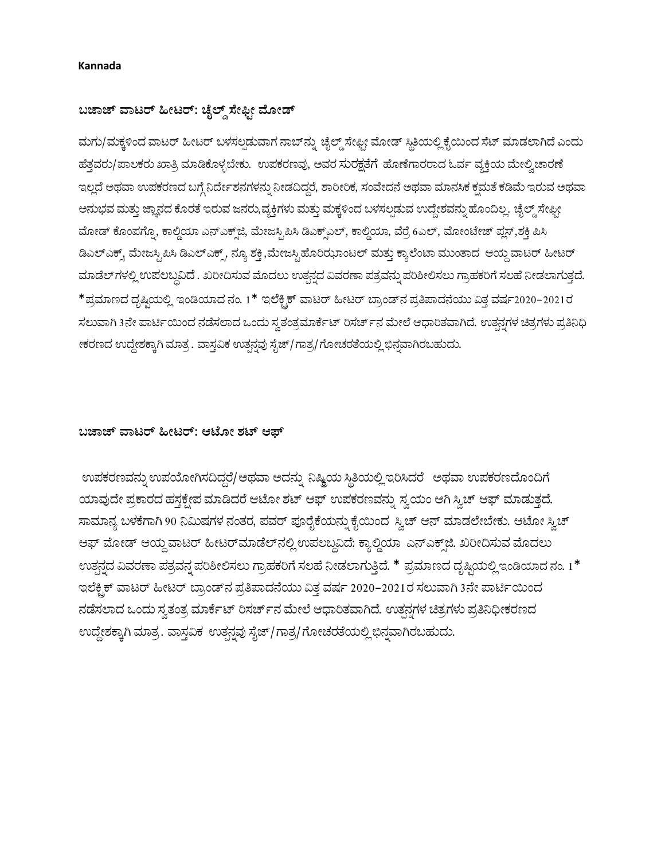### Kannada

# ಬಜಾಜ್ ವಾಟರ್ ಹೀಟರ್: ಚೈಲ್ಡ್ ಸೇಫ್ಟೀ ಮೋಡ್

ಮಗು/ಮಕ್ಕಳಿಂದ ವಾಟರ್ ಹೀಟರ್ ಬಳಸಲ್ಪಡುವಾಗ ನಾಬ್ ನ್ನು ಚೈಲ್ಡ್ ಸೇಫ್ಬೀ ಮೋಡ್ ಸ್ಥಿತಿಯಲ್ಲಿ ಕೈಯಿಂದ ಸೆಟ್ ಮಾಡಲಾಗಿದೆ ಎಂದು ಹೆತ್ತವರು/ಪಾಲಕರು ಖಾತ್ರಿ ಮಾಡಿಕೊಳ್ಳಬೇಕು. ಉಪಕರಣವು, ಅವರ ಸುರಕ್ಷತೆಗೆ ಹೊಣೆಗಾರರಾದ ಓರ್ವ ವ್ಯಕ್ತಿಯ ಮೇಲ್ವಿಚಾರಣೆ ಇಲ್ಲದೆ ಅಥವಾ ಉಪಕರಣದ ಬಗ್ಗೆ ನಿರ್ದೇಶನಗಳನ್ನು ನೀಡದಿದ್ದರೆ, ಶಾರೀರಿಕ, ಸಂವೇದನೆ ಅಥವಾ ಮಾನಸಿಕ ಕ್ಷಮತೆ ಕಡಿಮೆ ಇರುವ ಅಥವಾ ಅನುಭವ ಮತ್ತು ಜ್ಞಾನದ ಕೊರತೆ ಇರುವ ಜನರು,ವ್ಯಕ್ತಿಗಳು ಮತ್ತು ಮಕ್ಕಳಿಂದ ಬಳಸಲ್ಪಡುವ ಉದ್ದೇಶವನ್ನು ಹೊಂದಿಲ್ಲ. ಚೈಲ್ಡ್ ಸೇಫ್ಬೀ ಮೋಡ್ ಕೊಂಪಗ್ನೊ, ಕಾಲ್ಡಿಯಾ ಎನ್ಎಕ್ಸ್ಜ್, ಮೇಜಸ್ಟಿಪಿಸಿ ಡಿಎಕ್ಸ್ಎಲ್, ಕಾಲ್ಡಿಯಾ, ವೆರ್ರೆ 6ಎಲ್, ಮೋಂಟೇಜ್ ಪ್ಲಸ್,ಶಕ್ತಿ ಪಿಸಿ ಡಿಎಲ್ಎಕ್ಸ್ ಮೇಜಸ್ಟಿಪಿಸಿ ಡಿಎಲ್ಎಕ್ಸ್, ನ್ಯೂ ಶಕ್ತಿ,ಮೇಜಸ್ಟಿಹೊರಿಝಾಂಟಲ್ ಮತ್ತು ಕ್ಯಾಲೆಂಟಾ ಮುಂತಾದ ಆಯ್ದ ವಾಟರ್ ಹೀಟರ್ ಮಾಡೆಲ್ಗಳಲ್ಲಿ ಉಪಲಬ್ದವಿದೆ . ಖರೀದಿಸುವ ಮೊದಲು ಉತ್ಪನ್ನದ ವಿವರಣಾ ಪತ್ರವನ್ನು ಪರಿಶೀಲಿಸಲು ಗ್ರಾಹಕರಿಗೆ ಸಲಹೆ ನೀಡಲಾಗುತ್ತದೆ. \*ಪ್ರಮಾಣದ ದೃಷ್ಟಿಯಲ್ಲಿ ಇಂಡಿಯಾದ ನಂ. 1\* ಇಲೆಕ್ಟ್ರಿಕ್ ವಾಟರ್ ಹೀಟರ್ ಬ್ರಾಂಡ್ನ ಪ್ರತಿಪಾದನೆಯು ವಿತ್ತ ವರ್ಷ2020–2021ರ ಸಲುವಾಗಿ 3ನೇ ಪಾರ್ಟಿಯಿಂದ ನಡೆಸಲಾದ ಒಂದು ಸ್ವತಂತ್ರಮಾರ್ಕೆಟ್ ರಿಸರ್ಚ್ನ ಮೇಲೆ ಆಧಾರಿತವಾಗಿದೆ. ಉತ್ಪನ್ನಗಳ ಚಿತ್ರಗಳು ಪ್ರತಿನಿಧಿ ೀಕರಣದ ಉದ್ದೇಶಕ್ಕಾಗಿ ಮಾತ್ರ . ವಾಸ್ತವಿಕ ಉತ್ಪನ್ನವು ಸೈಜ್/ಗಾತ್ರ/ಗೋಚರತೆಯಲ್ಲಿ ಭಿನ್ನವಾಗಿರಬಹುದು.

## ಬಜಾಜ್ ವಾಟರ್ ಹೀಟರ್: ಆಟೋ ಶಟ್ ಆಪ್

ಉಪಕರಣವನ್ನು ಉಪಯೋಗಿಸದಿದ್ದರೆ/ಅಥವಾ ಅದನ್ನು ನಿಷ್ಕ್ರಿಯ ಸ್ಥಿತಿಯಲ್ಲಿ ಇರಿಸಿದರೆ ಅಥವಾ ಉಪಕರಣದೊಂದಿಗೆ ಯಾವುದೇ ಪ್ರಕಾರದ ಹಸ್ತಕ್ಷೇಪ ಮಾಡಿದರೆ ಆಟೋ ಶಟ್ ಆಫ್ ಉಪಕರಣವನ್ನು ಸ್ವಯಂ ಆಗಿ ಸ್ವಿಚ್ ಆಫ್ ಮಾಡುತ್ತದೆ. ಸಾಮಾನ್ಯ ಬಳಕೆಗಾಗಿ 90 ನಿಮಿಷಗಳ ನಂತರ, ಪವರ್ ಪೂರೈಕೆಯನ್ನು ಕೈಯಿಂದರ್ಿಸ್ವಚ್ ಆನ್ ಮಾಡಲೇಬೇಕು. ಆಟೋ ಸ್ವಿಚ್ ಆಫ್ ಮೋಡ್ ಆಯ್ದ ವಾಟರ್ ಹೀಟರ್ಮಾಡೆಲ್ನಲ್ಲಿ ಉಪಲಬ್ದವಿದೆ: ಕ್ಯಾಲ್ಡಿಯಾ ಎನ್ಎಕ್ಸ್ಜ್. ಖರೀದಿಸುವ ಮೊದಲು ಉತ್ಪನ್ನದ ವಿವರಣಾ ಪತ್ರವನ್ನ ಪರಿಶೀಲಿಸಲು ಗ್ರಾಹಕರಿಗೆ ಸಲಹೆ ನೀಡಲಾಗುತ್ತಿದೆ. \* ಪ್ರಮಾಣದ ದೃಷ್ಟಿಯಲ್ಲಿ ಇಂಡಿಯಾದ ನಂ. 1\* ಇಲೆಕ್ಟಿಕ್ ವಾಟರ್ ಹೀಟರ್ ಬ್ರಾಂಡ್ನ ಪ್ರತಿಪಾದನೆಯು ವಿತ್ತ ವರ್ಷ 2020–2021ರ ಸಲುವಾಗಿ 3ನೇ ಪಾರ್ಟಿಯಿಂದ ನಡೆಸಲಾದ ಒಂದು ಸ್ವತಂತ್ರ ಮಾರ್ಕೆಟ್ ರಿಸರ್ಚ್ ನ ಮೇಲೆ ಆಧಾರಿತವಾಗಿದೆ. ಉತ್ಪನ್ನಗಳ ಚಿತ್ರಗಳು ಪ್ರತಿನಿಧೀಕರಣದ ಉದ್ದೇಶಕ್ಕಾಗಿ ಮಾತ್ರ. ವಾಸ್ತವಿಕ ಉತ್ಪನ್ನವು ಸೈಜ್/ಗಾತ್ರ/ಗೋಚರತೆಯಲ್ಲಿ ಭಿನ್ನವಾಗಿರಬಹುದು.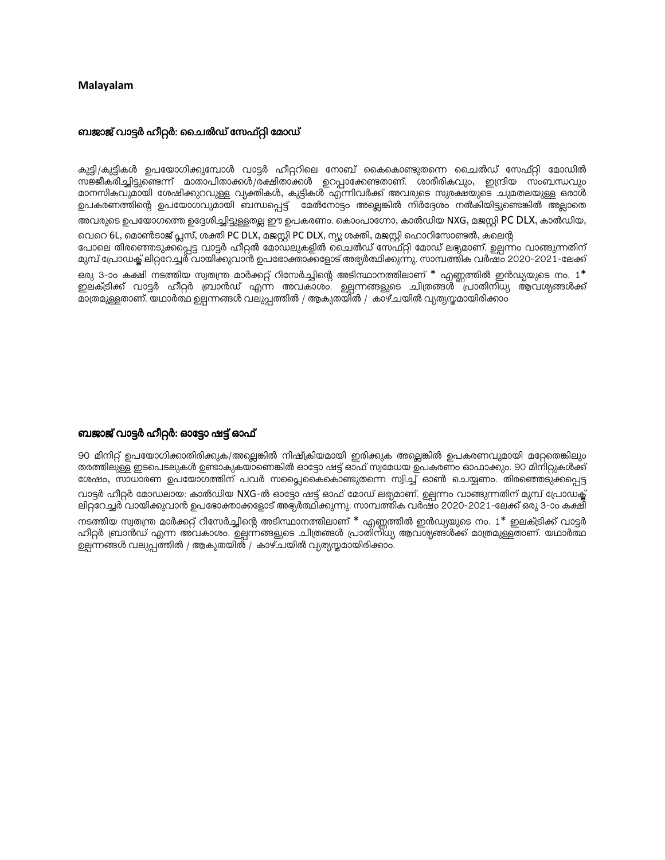#### **Malavalam**

#### ബജാജ് വാട്ടർ ഹീറ്റർ: ചൈൽഡ് സേഫ്റ്റി മോഡ്

കുട്ടി/കുട്ടികൾ ഉപയോഗിക്കുമ്പോൾ വാട്ടർ ഹീറ്ററിലെ നോബ് കൈകൊണ്ടുതന്നെ ചൈൽഡ് സേഫ്റ്റി മോഡിൽ സജ്ജീകരിച്ചിട്ടുണ്ടെന്ന് മാതാപിതാക്കൾ/രക്ഷിതാക്കൾ ഉറപ്പാക്കേണ്ടതാണ്. ശാരീരികവും, ഇന്ദ്രിയ സംബന്ധവും മാനസികവുമായി ശേഷിക്കുറവുള്ള വ്യക്തികൾ, കുട്ടികൾ എന്നിവർക്ക് അവരുടെ സുരക്ഷയുടെ ചുമതലയുള്ള ഒരാൾ ഉപകരണത്തിന്റെ ഉപയോഗവുമായി ബന്ധപ്പെട്ട് മേൽനോട്ടം അല്ലെങ്കിൽ നിർദ്ദേശം നൽകിയിട്ടുണ്ടെങ്കിൽ അല്ലാതെ അവരുടെ ഉപയോഗത്തെ ഉദ്ദേശിച്ചിട്ടുള്ളതല്ല ഈ ഉപകരണം. കൊംപാഗ്നോ, കാൽഡിയ NXG, മജസ്റ്റി PC DLX, കാൽഡിയ, വെറെ 6L, മൊൺടാജ് പ്ലസ്, ശക്തി PC DLX, മജസ്റ്റി PC DLX, ന്യൂ ശക്തി, മജസ്റ്റി ഹൊറിസോണ്ടൽ, കലെന്റ പോലെ തിരഞ്ഞെടുക്കപ്പെട്ട വാട്ടർ ഹീറ്റൽ മോഡലുകളിൽ ചൈൽഡ് സേഫ്റ്റി മോഡ് ലഭ്യമാണ്. ഉല്പന്നം വാങ്ങുന്നതിന് മുമ്പ് പ്രോഡക്ക് ലിറ്ററേച്ചര് വായിക്കുവാൻ ഉപഭോക്താക്കളോട് അഭ്യർത്ഥിക്കുന്നു. സാമ്പത്തിക വർഷം 2020-2021-ലേക്ക് ഒരു 3-ാം കക്ഷി നടത്തിയ സ്വതന്ത്ര മാർക്കറ്റ് റിസേർച്ചിന്റെ അടിസ്ഥാനത്തിലാണ് \* എണ്ണത്തിൽ ഇൻഡ്യയുടെ നം.  $1^*$ ഇലക്ട്രിക്ക് വാട്ടർ ഹീറ്റർ ബ്രാൻഡ് എന്ന അവകാശം. ഉല്പന്നങ്ങളുടെ ചിത്രങ്ങൾ പ്രാതിനിധ്യ ആവശ്യങ്ങൾക്ക് മാത്രമുള്ളതാണ്. യഥാർത്ഥ ഉല്പന്നങ്ങൾ വലുപ്പത്തിൽ / ആകൃതയിൽ / കാഴ്ചയിൽ വ്യത്യസ്തമായിരിക്കാം

#### ബജാജ് വാട്ടർ ഹീറ്റർ: ഓട്ടോ ഷട്ട് ഓഫ്

90 മിനിറ്റ് ഉപയോഗിക്കാതിരിക്കുക/അല്ലെങ്കിൽ നിഷ്ക്രിയമായി ഇരിക്കുക അല്ലെങ്കിൽ ഉപകരണവുമായി മറ്റേതെങ്കിലും തരത്തിലുള്ള ഇടപെടലുകൾ ഉണ്ടാകുകയാണെങ്കിൽ ഓട്ടോ ഷട്ട് ഓഫ് സ്വമേധയ ഉപകരണം ഓഫാക്കും. 90 മിനിറ്റുകൾക്ക് ശേഷം, സാധാരണ ഉപയോഗത്തിന് പവർ സപ്ലൈകൈകൊണ്ടുതന്നെ സ്വിച്ച് ഓൺ ചെയ്യണം. തിരഞ്ഞെടുക്കപ്പെട്ട വാട്ടർ ഹീറ്റർ മോഡലായ: കാൽഡിയ NXG-ൽ ഓട്ടോ ഷട്ട് ഓഫ് മോഡ് ലഭ്യമാണ്. ഉല്പന്നം വാങ്ങുന്നതിന് മുമ്പ് പ്രോഡക്ട് ലിറ്ററേച്ചർ വായിക്കുവാൻ ഉപഭോക്താക്കളോട് അഭ്യർത്ഥിക്കുന്നു. സാമ്പത്തിക വർഷം 2020-2021-ലേക്ക് ഒരു 3-ാം കക്ഷി നടത്തിയ സ്വതന്ത്ര മാർക്കറ്റ് റിസേർച്ചിന്റെ അടിസ്ഥാനത്തിലാണ് \* എണ്ണത്തിൽ ഇൻഡ്യയുടെ നം. 1\* ഇലക്ട്രിക്ക് വാട്ടർ ഹീറ്റർ ബ്രാൻഡ് എന്ന അവകാശം. ഉല്പന്നങ്ങളുടെ ചിത്രങ്ങൾ പ്രാതിന്ിധ്യ ആവശ്യങ്ങൾക്ക് മാത്രമുള്ളതാണ്. യഥാർത്ഥ ഉല്പന്നങ്ങൾ വലുപ്പത്തിൽ / ആകൃതയിൽ / കാഴ്ചയിൽ വ്യത്യസ്തമായിരിക്കാം.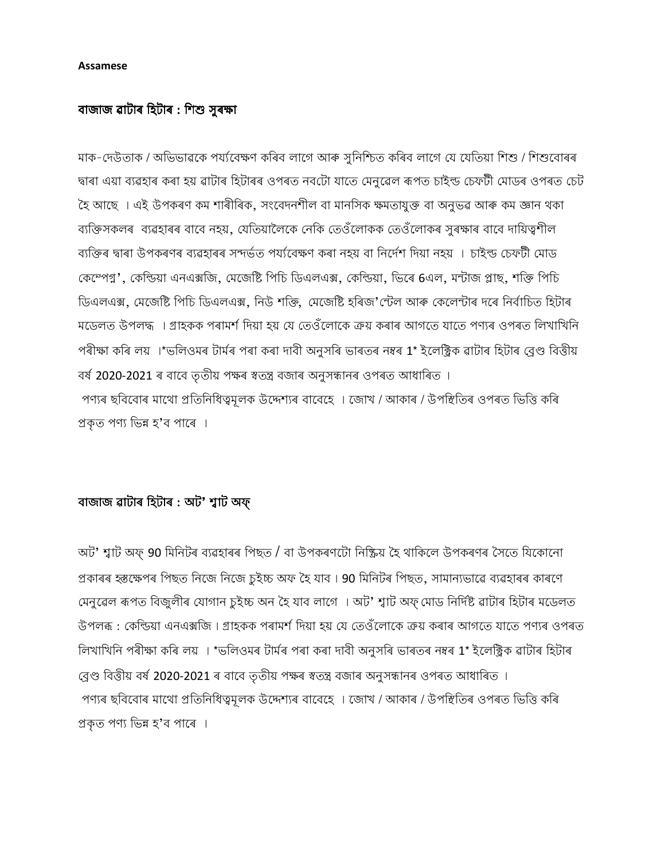#### **Assamese**

## বাজাজ ৱাটাৰ হিটাৰ : শিশু সুৰক্ষা

মাক-দেউতাক / অভিভাৱকে পৰ্য্যবেক্ষণ কৰিব লাগে আৰু সুনিশ্চিত কৰিব লাগে যে যেতিয়া শিশু / শিশুবোৰৰ দ্বাৰা এয়া ব্যৱহাৰ কৰা হয় ৱাটাৰ হিটাৰৰ ওপৰত নবটো যাতে মেনুৱেল ৰূপত চাইল্ড চেফটী মোডৰ ওপৰত চেট হৈ আছে । এই উপকৰণ কম শাৰীৰিক, সংবেদনশীল বা মানসিক ক্ষমতাযুক্ত বা অনুভৱ আৰু কম জ্ঞান থকা ব্যক্তিসকলৰ ব্যৱহাৰৰ বাবে নহয়, যেতিয়ালৈকে নেকি তেওঁলোকক তেওঁলোকৰ সুৰক্ষাৰ বাবে দায়িত্বশীল ব্যক্তিৰ দ্বাৰা উপকৰণৰ ব্যৱহাৰৰ সন্দৰ্ভত পৰ্য্যবেক্ষণ কৰা নহয় বা নিৰ্দেশ দিয়া নহয় । চাইল্ড চেফটী মোড কেম্পেগ্ন', কেন্ডিয়া এনএক্সজি, মেজেষ্টি পিচি ডিএলএক্স, কেন্ডিয়া, ডিৰে 6এল, মন্টাজ প্লাছ, শক্তি পিচি ডিএলএক্স, মেজেষ্টি পিচি ডিএলএক্স, নিউ শক্তি, মেজেষ্টি হৰিজ'ৰ্টেল আৰু কেলেন্টাৰ দৰে নিৰ্বাচিত হিটাৰ মডেলত উপলদ্ধ । গ্ৰাহকক পৰামৰ্শ দিয়া হয় যে তেওঁলোকে ক্ৰয় কৰাৰ আগতে যাতে পণ্যৰ ওপৰত লিখাখিনি পৰীক্ষা কৰি লয় ।\*ভলিওমৰ টাৰ্মৰ পৰা কৰা দাবী অনুসৰি ভাৰতৰ নম্বৰ 1\* ইলেক্ট্ৰিক ৱাটাৰ হিটাৰ ব্ৰেণ্ড বিত্তীয় বৰ্ষ 2020-2021 ৰ বাবে তৃতীয় পক্ষৰ স্বতন্ত্ৰ বজাৰ অনুসন্ধানৰ ওপৰত আধাৰিত । পণ্যৰ ছবিবোৰ মাথো প্ৰতিনিধিত্বমূলক উদ্দেশ্যৰ বাবেহে । জোখ / আকাৰ / উপস্থিতিৰ ওপৰত ভিত্তি কৰি প্ৰকৃত পণ্য ভিন্ন হ'ব পাৰে ।

# বাজাজ ৱাটাৰ হিটাৰ : অট' শ্বাট অফ্

অট' শ্বাট অফ্ 90 মিনিটৰ ব্যৱহাৰৰ পিছত / বা উপকৰণটো নিষ্ক্ৰিয় হৈ থাকিলে উপকৰণৰ সৈতে যিকোনো প্ৰকাৰৰ হস্তক্ষেপৰ পিছত নিজে নিজে চুইচ্চ অফ হৈ যাব। 90 মিনিটৰ পিছত, সামান্যভাৱে ব্যৱহাৰৰ কাৰণে মেনুৱেল ৰূপত বিজুলীৰ যোগান চুইচ্চ অন হৈ যাব লাগে । অট' শ্বাট অফ্ মোড নিৰ্দিষ্ট ৱাটাৰ হিটাৰ মডেলত উপলব্ধ : কেল্ডিয়া এনএক্সজি । গ্ৰাহকক পৰামৰ্শ দিয়া হয় যে তেওঁলোকে ক্ৰয় কৰাৰ আগতে যাতে পণ্যৰ ওপৰত লিখাখিনি পৰীক্ষা কৰি লয় । \*ভলিওমৰ টাৰ্মৰ পৰা কৰা দাবী অনুসৰি ভাৰতৰ নম্বৰ 1\* ইলেক্ট্ৰিক ৱাটাৰ হিটাৰ ব্ৰেণ্ড বিত্তীয় বৰ্ষ 2020-2021 ৰ বাবে তৃতীয় পক্ষৰ স্বতন্ত্ৰ বজাৰ অনুসন্ধানৰ ওপৰত আধাৰিত । পণ্যৰ ছবিবোৰ মাথো প্ৰতিনিধিত্বমূলক উদ্দেশ্যৰ বাবেহে । জোখ / আকাৰ / উপস্থিতিৰ ওপৰত ভিত্তি কৰি প্ৰকৃত পণ্য ভিন্ন হ'ব পাৰে ।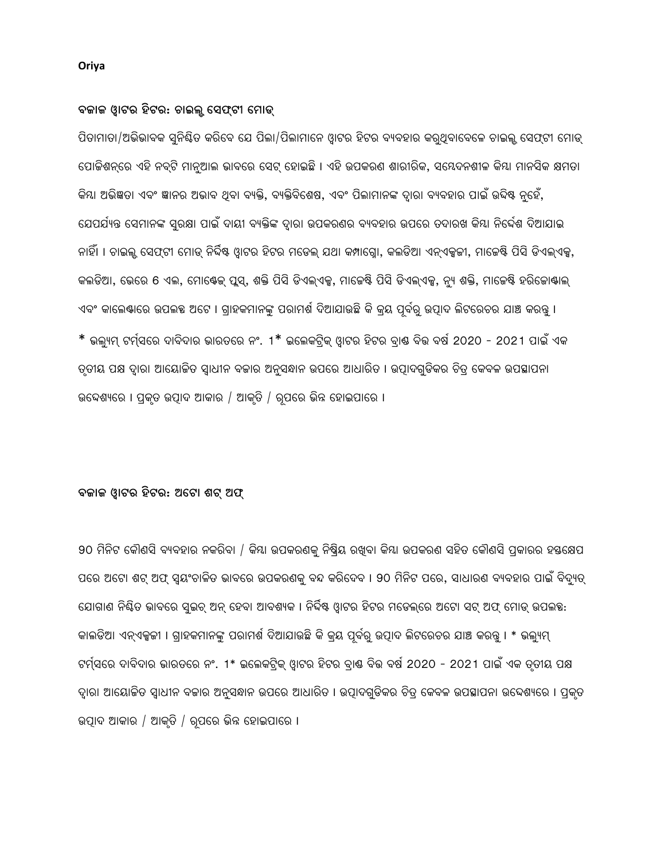## Oriya

## ବଜାଜ ଓ୍ୱାଟର ହିଟର: ଚାଇଲୁ ସେଫ୍ଟୀ ମୋଡ୍

ପିତାମାତା/ଅଭିଭାବକ ସ୍ନିୟିତ କରିବେ ଯେ ପିଲା/ପିଲାମାନେ ଓ୍ୱାଟର ହିଟର ବ୍ୟବହାର କର୍ଥିବାବେଳେ ଚାଇଲୁ ସେଫ୍ଟୀ ମୋଡ୍ ପୋକିଶନ୍ରେ ଏହି ନବ୍ଟି ମାନ୍ଆଲ ଭାବରେ ସେଟ୍ ହୋଇଛି । ଏହି ଉପକରଣ ଶାରୀରିକ, ସୟେଦନଶୀଳ କିୟା ମାନସିକ କ୍ଷମତା କିୟା ଅଭିଜ୍ଞତା ଏବଂ ଜ୍ଞାନର ଅଭାବ ଥିବା ବ୍ୟକ୍ତି, ବ୍ୟକ୍ତିବିଶେଷ, ଏବଂ ପିଲାମାନଙ୍କ ଦ୍ୱାରା ବ୍ୟବହାର ପାଇଁ ଉଦ୍ଦିଷ୍ଟ ନ୍ହେଁ, ଯେପର୍ଯ୍ୟନ୍ତ ସେମାନଙ୍କ ସ୍ରକ୍ଷା ପାଇଁ ଦାୟୀ ବ୍ୟକ୍ତିଙ୍କ ଦ୍ୱାରା ଉପକରଣର ବ୍ୟବହାର ଉପରେ ତଦାରଖ କିୟା ନିର୍ଦ୍ଦେଶ ଦିଆଯାଇ ନାହିଁ। । ଚାଇଲ୍ ସେଫଟୀ ମୋଡ୍ ନିର୍ଦ୍ଦିଷ୍ଟ୍ ଓ୍ରାଟର୍ ହିଟର୍ ମଡେଲ୍ ଯଥା କମ୍ପାଗ୍ରୋ, କଲଡିଆ ଏନ୍ଏକ୍ସଜୀ, ମାଜେଷ୍ଟି ପିସି ଡିଏଲଏକ୍ସ, କଲଡିଆ, ଭେରେ 6 ଏଲ, ମୋଷ୍ଟେକ୍ ପୁସ୍, ଶକ୍ତି ପିସି ଡିଏଲ୍ଏକୁ, ମାଜେଷ୍ଟି ପିସି ଡିଏଲ୍ଏକୁ, ନ୍ୟ ଶକ୍ତି, ମାଜେଷ୍ଟି ହରିଜୋଷ୍ୟାଲ୍ ଏବଂ କାଲେଷ୍ଟରେ ଉପଲହ ଅଟେ । ଗ୍ରାହକମାନଙ୍କୁ ପରାମର୍ଶ ଦିଆଯାଉଛି କି କ୍ରୟ ପୂର୍ବରୁ ଉତ୍ପାଦ ଲିଟରେଚର ଯାଞ୍ଚ କରନ୍ତୁ । \* ଭଲ୍ୟମ୍ ଟର୍ମ୍ସରେ ଦାବିଦାର ଭାରତରେ ନଂ. 1\* ଇଲେକଟ୍ରିକ୍ ଓ୍ୱାଟର ହିଟର ବ୍।ଷ ବିଭ ବର୍ଷ 2020 - 2021 ପାଇଁ ଏକ ତୃତୀୟ ପକ୍ଷ ଦ୍ୱାରା ଆୟୋଜିତ ସ୍ୱାଧୀନ ବଜାର ଅନୁସନ୍ଧାନ ଉପରେ ଆଧାରିତ । ଉତ୍ପାଦଗୁଡିକର ଚିତ୍ର କେବଳ ଉପସ୍ଥାପନା ଉଦ୍ଦେଶ୍ୟରେ । ପ୍ରକୃତ ଉତ୍ପାଦ ଆକାର / ଆକୃତି / ରୂପରେ ଭିନ୍ନ ହୋଇପାରେ ।

## ବଜାଜ ଓ୍ୱାଟର ହିଟର: ଅଟେ। ଶଟ୍ ଅଫ୍

90 ମିନିଟ କୌଣସି ବ୍ୟବହାର ନକରିବା / କିୟା ଉପକରଣକୁ ନିଷ୍କିୟ ରଖୁବା କିୟା ଉପକରଣ ସହିତ କୌଣସି ପ୍ରକାରର ହୟକ୍ଷେପ ପରେ ଅଟୋ ଶଟ୍ ଅଫ୍ ସ୍ୱୟଂଚାଳିତ ଭାବରେ ଉପକରଣକୁ ବନ୍ଦ କରିଦେବ । 90 ମିନିଟ ପରେ, ସାଧାରଣ ବ୍ୟବହାର ପାଇଁ ବିଦ୍ୟୁତ୍ ଯୋଗାଣ ନିୟିତ ଭାବରେ ସ୍ୱଇଚ୍ ଅନ୍ ହେବା ଆବଶ୍ୟକ । ନିର୍ଦ୍ଦିଷ୍ଟ ଓ୍ୱାଟର ହିଟର ମଡେଲ୍ରେ ଅଟୋ ସଟ୍ ଅଫ୍ ମୋଡ୍ ଉପଲକ୍ଷ: କାଲଡିଆ ଏନ୍ଏକ୍ସଜୀ । ଗ୍ରାହକମାନଙ୍କ ପରାମର୍ଶ ଦିଆଯାଉଛି କି କ୍ୟ ପୂର୍ବରୁ ଉତ୍ପାଦ ଲିଟରେଚର ଯାଞ୍ଚ କରନ୍ତୁ । \* ଭଲ୍ୟମ୍ ଟର୍ମ୍ସରେ ଦାବିଦାର ଭାରତରେ ନଂ. 1\* ଇଲେକଟିକ୍ ଓ୍ୱାଟର ହିଟର ବା଼ଷ ବିଭ ବର୍ଷ 2020 - 2021 ପାଇଁ ଏକ ତୃତୀୟ ପକ୍ଷ ଦ୍ୱାରା ଆୟୋଜିତ ସ୍ୱାଧୀନ ବଜାର ଅନୁସନ୍ଧାନ ଉପରେ ଆଧାରିତ । ଉତ୍ପାଦଗ୍ରଡିକର ଚିତ୍ର କେବଳ ଉପସ୍ଥାପନା ଉଦ୍ଦେଶ୍ୟରେ । ପ୍ରକୃତ ଉତ୍ପାଦ ଆକାର / ଆକୃତି / ରୂପରେ ଭିନ୍ନ ହୋଇପାରେ ।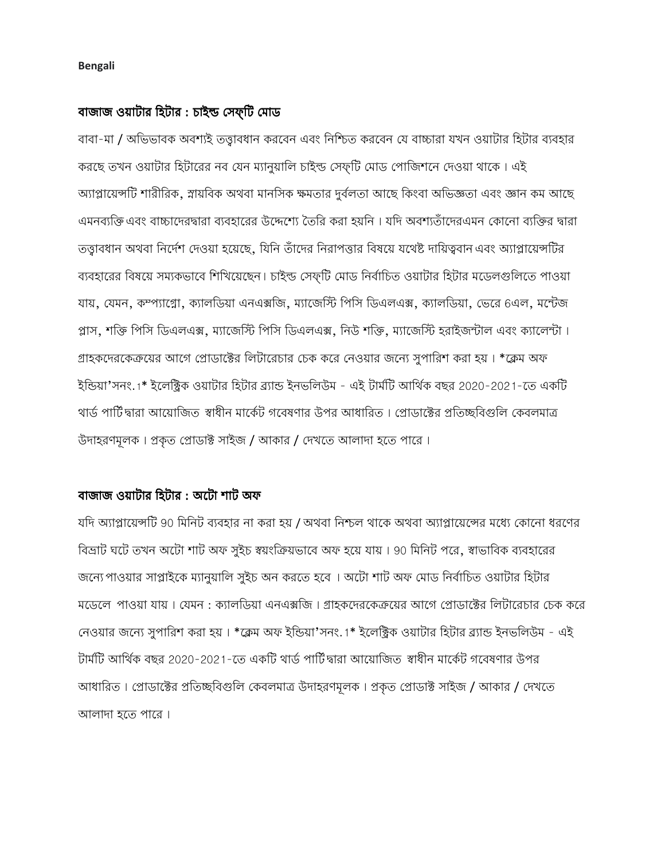#### **Bengali**

## বাজাজ ওয়াটার হিটার : চাইল্ড সেফ্টি মোড

বাবা-মা / অভিভাবক অবশ্যই তত্তাবধান করবেন এবং নিশ্চিত করবেন যে বাচ্চারা যখন ওয়াটার হিটার ব্যবহার করছে তখন ওয়াটার হিটারের নব যেন ম্যানুয়ালি চাইল্ড সেফ্টি মোড পোজিশনে দেওয়া থাকে। এই অ্যাপ্লায়েন্সটি শারীরিক, স্নায়বিক অথবা মানসিক ক্ষমতার দুর্বলতা আছে কিংবা অভিজ্ঞতা এবং জ্ঞান কম আছে এমনব্যক্তি এবং বাচ্চাদেরদ্বারা ব্যবহারের উদ্দেশ্যে তৈরি করা হয়নি । যদি অবশ্যতাঁদেরএমন কোনো ব্যক্তির দ্বারা তত্ত্বাবধান অথবা নির্দেশ দেওয়া হয়েছে, যিনি তাঁদের নিরাপত্তার বিষয়ে যথেষ্ট দায়িত্ববান এবং অ্যাপ্লায়েন্সটির ব্যবহারের বিষয়ে সম্যকভাবে শিখিয়েছেন। চাইন্ড সেফটি মোড নির্বাচিত ওয়াটার হিটার মডেলগুলিতে পাওয়া যায়, যেমন, কম্প্যাগ্নো, ক্যালডিয়া এনএক্সজি, ম্যাজেস্টি পিসি ডিএলএক্স, ক্যালডিয়া, ভেরে 6এল, মন্টেজ প্লাস, শক্তি পিসি ডিএলএক্স, ম্যাজেস্টি পিসি ডিএলএক্স, নিউ শক্তি, ম্যাজেস্টি হ্রাইজন্টাল এবং ক্যালেন্টা। গ্রাহকদেরকেক্রয়ের আগে প্রোডাক্টের লিটারেচার চেক করে নেওয়ার জন্যে সুপারিশ করা হয়। \*ক্লেম অফ ইন্ডিয়া'সনং.1\* ইলেক্ট্রিক ওয়াটার হিটার ব্র্যান্ড ইনভলিউম - এই টার্মটি আর্থিক বছর 2020-2021-তে একটি থার্ড পার্টি'দ্বারা আয়োজিত স্বাধীন মার্কেট গবেষণার উপর আধারিত । প্রোডাক্টের প্রতিচ্ছবিগুলি কেবলমাত্র উদাহরণমূলক। প্রকৃত প্রোডাক্ট সাইজ / আকার / দেখতে আলাদা হতে পারে।

## বাজাজ ওয়াটার হিটার : অটো শাট অফ

যদি অ্যাপ্লায়েন্সটি 90 মিনিট ব্যবহার না করা হয় / অথবা নিশ্চল থাকে অথবা অ্যাপ্লায়েন্সের মধ্যে কোনো ধরণের বিভ্রাট ঘটে তখন অটো শাট অফ সুইচ স্বয়ংক্রিয়ভাবে অফ হয়ে যায় । 90 মিনিট পরে, স্বাভাবিক ব্যবহারের জন্যে পাওয়ার সাপ্লাইকে ম্যানুয়ালি সুইচ অন করতে হবে । অটো শাট অফ মোড নির্বাচিত ওয়াটার হিটার মডেলে পাওয়া যায়। যেমন : ক্যালডিয়া এনএক্সজি। গ্রাহকদেরকেক্রয়ের আগে প্রোডাক্টের লিটারেচার চেক করে নেওয়ার জন্যে সুপারিশ করা হয় । \*ক্লেম অফ ইন্ডিয়া'সনং.1\* ইলেক্ট্রিক ওয়াটার হিটার ব্র্যান্ড ইনভলিউম - এই টার্মটি আর্থিক বছর 2020-2021-তে একটি থার্ড পার্টিদ্বারা আয়োজিত স্বাধীন মার্কেট গবেষণার উপর আধারিত। প্রোডাক্টের প্রতিচ্ছবিগুলি কেবলমাত্র উদাহরণমূলক। প্রকৃত প্রোডাক্ট সাইজ / আকার / দেখতে আলাদা হতে পারে।